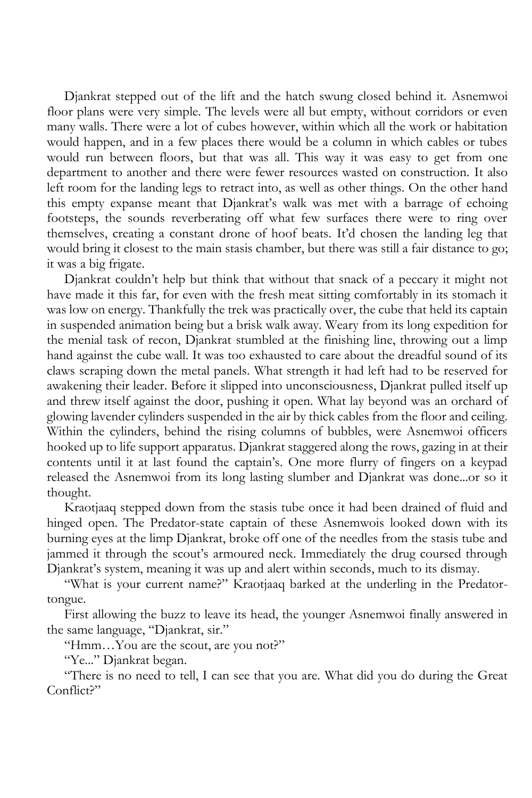Djankrat stepped out of the lift and the hatch swung closed behind it. Asnemwoi floor plans were very simple. The levels were all but empty, without corridors or even many walls. There were a lot of cubes however, within which all the work or habitation would happen, and in a few places there would be a column in which cables or tubes would run between floors, but that was all. This way it was easy to get from one department to another and there were fewer resources wasted on construction. It also left room for the landing legs to retract into, as well as other things. On the other hand this empty expanse meant that Djankrat's walk was met with a barrage of echoing footsteps, the sounds reverberating off what few surfaces there were to ring over themselves, creating a constant drone of hoof beats. It'd chosen the landing leg that would bring it closest to the main stasis chamber, but there was still a fair distance to go; it was a big frigate.

Djankrat couldn't help but think that without that snack of a peccary it might not have made it this far, for even with the fresh meat sitting comfortably in its stomach it was low on energy. Thankfully the trek was practically over, the cube that held its captain in suspended animation being but a brisk walk away. Weary from its long expedition for the menial task of recon, Djankrat stumbled at the finishing line, throwing out a limp hand against the cube wall. It was too exhausted to care about the dreadful sound of its claws scraping down the metal panels. What strength it had left had to be reserved for awakening their leader. Before it slipped into unconsciousness, Djankrat pulled itself up and threw itself against the door, pushing it open. What lay beyond was an orchard of glowing lavender cylinders suspended in the air by thick cables from the floor and ceiling. Within the cylinders, behind the rising columns of bubbles, were Asnemwoi officers hooked up to life support apparatus. Djankrat staggered along the rows, gazing in at their contents until it at last found the captain's. One more flurry of fingers on a keypad released the Asnemwoi from its long lasting slumber and Djankrat was done...or so it thought.

Kraotjaaq stepped down from the stasis tube once it had been drained of fluid and hinged open. The Predator-state captain of these Asnemwois looked down with its burning eyes at the limp Djankrat, broke off one of the needles from the stasis tube and jammed it through the scout's armoured neck. Immediately the drug coursed through Djankrat's system, meaning it was up and alert within seconds, much to its dismay.

"What is your current name?" Kraotjaaq barked at the underling in the Predatortongue.

First allowing the buzz to leave its head, the younger Asnemwoi finally answered in the same language, "Djankrat, sir."

"Hmm…You are the scout, are you not?"

"Ye..." Djankrat began.

"There is no need to tell, I can see that you are. What did you do during the Great Conflict?"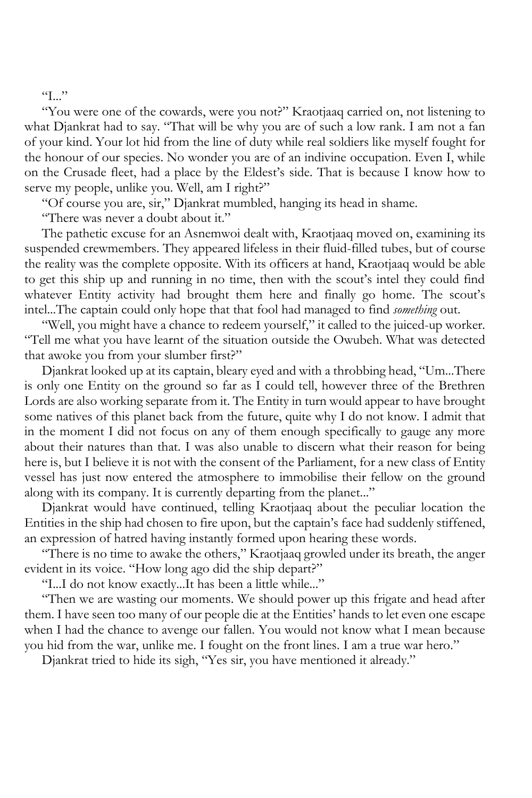$T_{\rm H}$ "

"You were one of the cowards, were you not?" Kraotjaaq carried on, not listening to what Djankrat had to say. "That will be why you are of such a low rank. I am not a fan of your kind. Your lot hid from the line of duty while real soldiers like myself fought for the honour of our species. No wonder you are of an indivine occupation. Even I, while on the Crusade fleet, had a place by the Eldest's side. That is because I know how to serve my people, unlike you. Well, am I right?"

"Of course you are, sir," Djankrat mumbled, hanging its head in shame.

"There was never a doubt about it."

The pathetic excuse for an Asnemwoi dealt with, Kraotjaaq moved on, examining its suspended crewmembers. They appeared lifeless in their fluid-filled tubes, but of course the reality was the complete opposite. With its officers at hand, Kraotjaaq would be able to get this ship up and running in no time, then with the scout's intel they could find whatever Entity activity had brought them here and finally go home. The scout's intel...The captain could only hope that that fool had managed to find *something* out.

"Well, you might have a chance to redeem yourself," it called to the juiced-up worker. "Tell me what you have learnt of the situation outside the Owubeh. What was detected that awoke you from your slumber first?"

Djankrat looked up at its captain, bleary eyed and with a throbbing head, "Um...There is only one Entity on the ground so far as I could tell, however three of the Brethren Lords are also working separate from it. The Entity in turn would appear to have brought some natives of this planet back from the future, quite why I do not know. I admit that in the moment I did not focus on any of them enough specifically to gauge any more about their natures than that. I was also unable to discern what their reason for being here is, but I believe it is not with the consent of the Parliament, for a new class of Entity vessel has just now entered the atmosphere to immobilise their fellow on the ground along with its company. It is currently departing from the planet..."

Djankrat would have continued, telling Kraotjaaq about the peculiar location the Entities in the ship had chosen to fire upon, but the captain's face had suddenly stiffened, an expression of hatred having instantly formed upon hearing these words.

"There is no time to awake the others," Kraotjaaq growled under its breath, the anger evident in its voice. "How long ago did the ship depart?"

"I...I do not know exactly...It has been a little while..."

"Then we are wasting our moments. We should power up this frigate and head after them. I have seen too many of our people die at the Entities' hands to let even one escape when I had the chance to avenge our fallen. You would not know what I mean because you hid from the war, unlike me. I fought on the front lines. I am a true war hero."

Djankrat tried to hide its sigh, "Yes sir, you have mentioned it already."